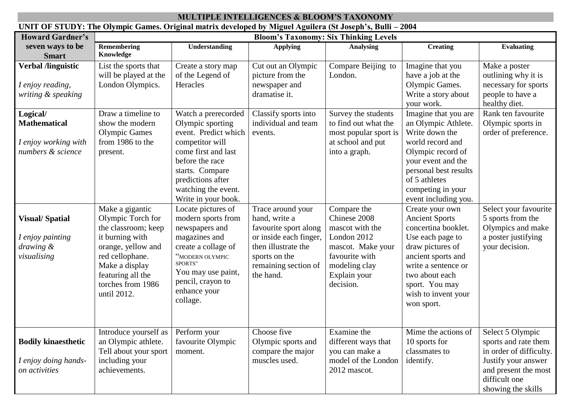| <b>MULTIPLE INTELLIGENCES &amp; BLOOM'S TAXONOMY</b><br>UNIT OF STUDY: The Olympic Games. Original matrix developed by Miguel Aguilera (St Joseph's, Bulli - 2004 |                                                                              |                                                                                                                                                                                                    |                                                                                                                                                                                                                    |                                                                                                                                                                    |                                                                                                                                                    |                                                                                                                                                                                                                               |                                                                                                                                                           |  |  |
|-------------------------------------------------------------------------------------------------------------------------------------------------------------------|------------------------------------------------------------------------------|----------------------------------------------------------------------------------------------------------------------------------------------------------------------------------------------------|--------------------------------------------------------------------------------------------------------------------------------------------------------------------------------------------------------------------|--------------------------------------------------------------------------------------------------------------------------------------------------------------------|----------------------------------------------------------------------------------------------------------------------------------------------------|-------------------------------------------------------------------------------------------------------------------------------------------------------------------------------------------------------------------------------|-----------------------------------------------------------------------------------------------------------------------------------------------------------|--|--|
|                                                                                                                                                                   |                                                                              |                                                                                                                                                                                                    |                                                                                                                                                                                                                    |                                                                                                                                                                    |                                                                                                                                                    |                                                                                                                                                                                                                               |                                                                                                                                                           |  |  |
|                                                                                                                                                                   | <b>Howard Gardner's</b>                                                      | <b>Bloom's Taxonomy: Six Thinking Levels</b>                                                                                                                                                       |                                                                                                                                                                                                                    |                                                                                                                                                                    |                                                                                                                                                    |                                                                                                                                                                                                                               |                                                                                                                                                           |  |  |
|                                                                                                                                                                   | seven ways to be<br><b>Smart</b>                                             | Remembering<br>Knowledge                                                                                                                                                                           | Understanding                                                                                                                                                                                                      | <b>Applying</b>                                                                                                                                                    | <b>Analysing</b>                                                                                                                                   | <b>Creating</b>                                                                                                                                                                                                               | <b>Evaluating</b>                                                                                                                                         |  |  |
|                                                                                                                                                                   | <b>Verbal /linguistic</b><br>I enjoy reading,<br>writing & speaking          | List the sports that<br>will be played at the<br>London Olympics.                                                                                                                                  | Create a story map<br>of the Legend of<br>Heracles                                                                                                                                                                 | Cut out an Olympic<br>picture from the<br>newspaper and<br>dramatise it.                                                                                           | Compare Beijing to<br>London.                                                                                                                      | Imagine that you<br>have a job at the<br>Olympic Games.<br>Write a story about<br>your work.                                                                                                                                  | Make a poster<br>outlining why it is<br>necessary for sports<br>people to have a<br>healthy diet.                                                         |  |  |
|                                                                                                                                                                   | Logical/<br><b>Mathematical</b><br>I enjoy working with<br>numbers & science | Draw a timeline to<br>show the modern<br><b>Olympic Games</b><br>from 1986 to the<br>present.                                                                                                      | Watch a prerecorded<br>Olympic sporting<br>event. Predict which<br>competitor will<br>come first and last<br>before the race<br>starts. Compare<br>predictions after<br>watching the event.<br>Write in your book. | Classify sports into<br>individual and team<br>events.                                                                                                             | Survey the students<br>to find out what the<br>most popular sport is<br>at school and put<br>into a graph.                                         | Imagine that you are<br>an Olympic Athlete.<br>Write down the<br>world record and<br>Olympic record of<br>your event and the<br>personal best results<br>of 5 athletes<br>competing in your<br>event including you.           | Rank ten favourite<br>Olympic sports in<br>order of preference.                                                                                           |  |  |
|                                                                                                                                                                   | <b>Visual/Spatial</b><br>I enjoy painting<br>drawing &<br>visualising        | Make a gigantic<br>Olympic Torch for<br>the classroom; keep<br>it burning with<br>orange, yellow and<br>red cellophane.<br>Make a display<br>featuring all the<br>torches from 1986<br>until 2012. | Locate pictures of<br>modern sports from<br>newspapers and<br>magazines and<br>create a collage of<br>"MODERN OLYMPIC<br>SPORTS"<br>You may use paint,<br>pencil, crayon to<br>enhance your<br>collage.            | Trace around your<br>hand, write a<br>favourite sport along<br>or inside each finger,<br>then illustrate the<br>sports on the<br>remaining section of<br>the hand. | Compare the<br>Chinese 2008<br>mascot with the<br>London 2012<br>mascot. Make your<br>favourite with<br>modeling clay<br>Explain your<br>decision. | Create your own<br><b>Ancient Sports</b><br>concertina booklet.<br>Use each page to<br>draw pictures of<br>ancient sports and<br>write a sentence or<br>two about each<br>sport. You may<br>wish to invent your<br>won sport. | Select your favourite<br>5 sports from the<br>Olympics and make<br>a poster justifying<br>your decision.                                                  |  |  |
|                                                                                                                                                                   | <b>Bodily kinaesthetic</b><br>I enjoy doing hands-<br>on activities          | Introduce yourself as<br>an Olympic athlete.<br>Tell about your sport<br>including your<br>achievements.                                                                                           | Perform your<br>favourite Olympic<br>moment.                                                                                                                                                                       | Choose five<br>Olympic sports and<br>compare the major<br>muscles used.                                                                                            | Examine the<br>different ways that<br>you can make a<br>model of the London<br>2012 mascot.                                                        | Mime the actions of<br>10 sports for<br>classmates to<br>identify.                                                                                                                                                            | Select 5 Olympic<br>sports and rate them<br>in order of difficulty.<br>Justify your answer<br>and present the most<br>difficult one<br>showing the skills |  |  |